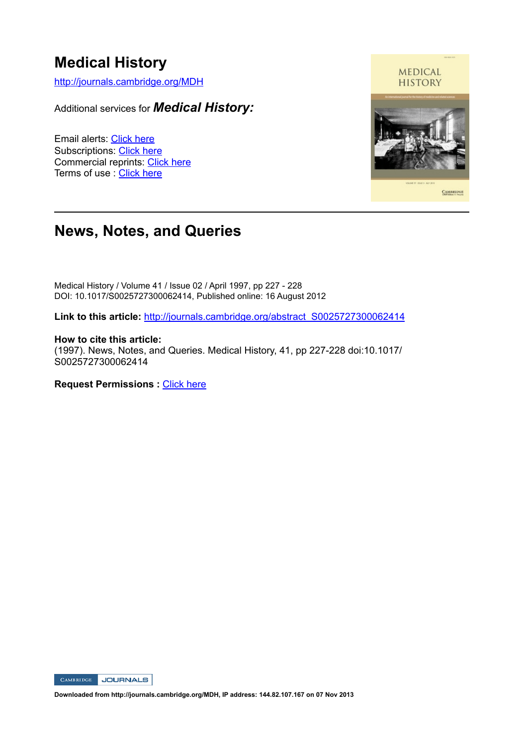# **Medical History**

http://journals.cambridge.org/MDH

Additional services for *Medical History:*

Email alerts: Click here Subscriptions: Click here Commercial reprints: Click here Terms of use : Click here



# **News, Notes, and Queries**

Medical History / Volume 41 / Issue 02 / April 1997, pp 227 - 228 DOI: 10.1017/S0025727300062414, Published online: 16 August 2012

**Link to this article:** http://journals.cambridge.org/abstract\_S0025727300062414

**How to cite this article:** (1997). News, Notes, and Queries. Medical History, 41, pp 227-228 doi:10.1017/ S0025727300062414

**Request Permissions :** Click here



**Downloaded from http://journals.cambridge.org/MDH, IP address: 144.82.107.167 on 07 Nov 2013**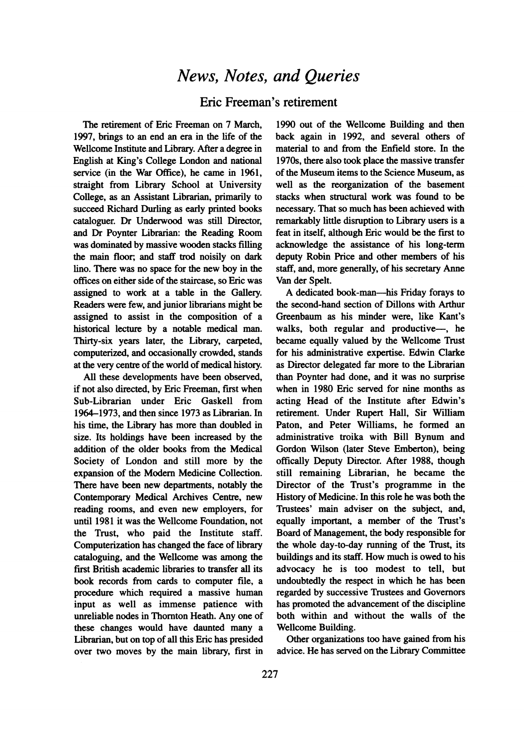## News, Notes, and Queries

Eric Freeman's retirement

The retirement of Eric Freeman on 7 March, 1997, brings to an end an era in the life of the Weilcome Institute and Library. After a degree in English at King's College London and national service (in the War Office), he came in 1961, straight from Library School at University College, as an Assistant Librarian, primarily to succeed Richard Durling as early printed books cataloguer. Dr Underwood was still Director, and Dr Poynter Librarian: the Reading Room was dominated by massive wooden stacks filling the main floor; and staff trod noisily on dark lino. There was no space for the new boy in the offices on either side of the staircase, so Eric was assigned to work at a table in the Gallery. Readers were few, and junior librarians might be assigned to assist in the composition of a historical lecture by a notable medical man. Thirty-six years later, the Library, carpeted, computerized, and occasionally crowded, stands at the very centre of the world of medical history.

All these developments have been observed, if not also directed, by Eric Freeman, first when Sub-Librarian under Eric Gaskell from 1964-1973, and then since 1973 as Librarian. In his time, the Library has more than doubled in size. Its holdings have been increased by the addition of the older books from the Medical Society of London and still more by the expansion of the Modem Medicine Collection. There have been new departments, notably the Contemporary Medical Archives Centre, new reading rooms, and even new employers, for until 1981 it was the Wellcome Foundation, not the Trust, who paid the Institute staff. Computerization has changed the face of library cataloguing, and the Wellcome was among the first British academic libraries to transfer all its book records from cards to computer file, a procedure which required a massive human input as well as immense patience with unreliable nodes in Thomton Heath. Any one of these changes would have daunted many a Librarian, but on top of all this Eric has presided over two moves by the main library, first in

1990 out of the Wellcome Building and then back again in 1992, and several others of material to and from the Enfield store. In the 1970s, there also took place the massive transfer of the Museum items to the Science Museum, as well as the reorganization of the basement stacks when structural work was found to be necessary. That so much has been achieved with remarkably little disruption to Library users is a feat in itself, although Eric would be the first to acknowledge the assistance of his long-term deputy Robin Price and other members of his staff, and, more generally, of his secretary Anne Van der Spelt.

A dedicated book-man-his Friday forays to the second-hand section of Dillons with Arthur Greenbaum as his minder were, like Kant's walks, both regular and productive-, he became equally valued by the Weilcome Trust for his administrative expertise. Edwin Clarke as Director delegated far more to the Librarian than Poynter had done, and it was no surprise when in 1980 Eric served for nine months as acting Head of the Institute after Edwin's retirement. Under Rupert Hall, Sir William Paton, and Peter Williams, he formed an administrative troika with Bill Bynum and Gordon Wilson (later Steve Emberton), being offically Deputy Director. After 1988, though still remaining Librarian, he became the Director of the Trust's programme in the History of Medicine. In this role he was both the Trustees' main adviser on the subject, and, equally important, a member of the Trust's Board of Management, the body responsible for the whole day-to-day running of the Trust, its buildings and its staff. How much is owed to his advocacy he is too modest to tell, but undoubtedly the respect in which he has been regarded by successive Trustees and Govemors has promoted the advancement of the discipline both within and without the walls of the Wellcome Building.

Other organizations too have gained from his advice. He has served on the Library Committee